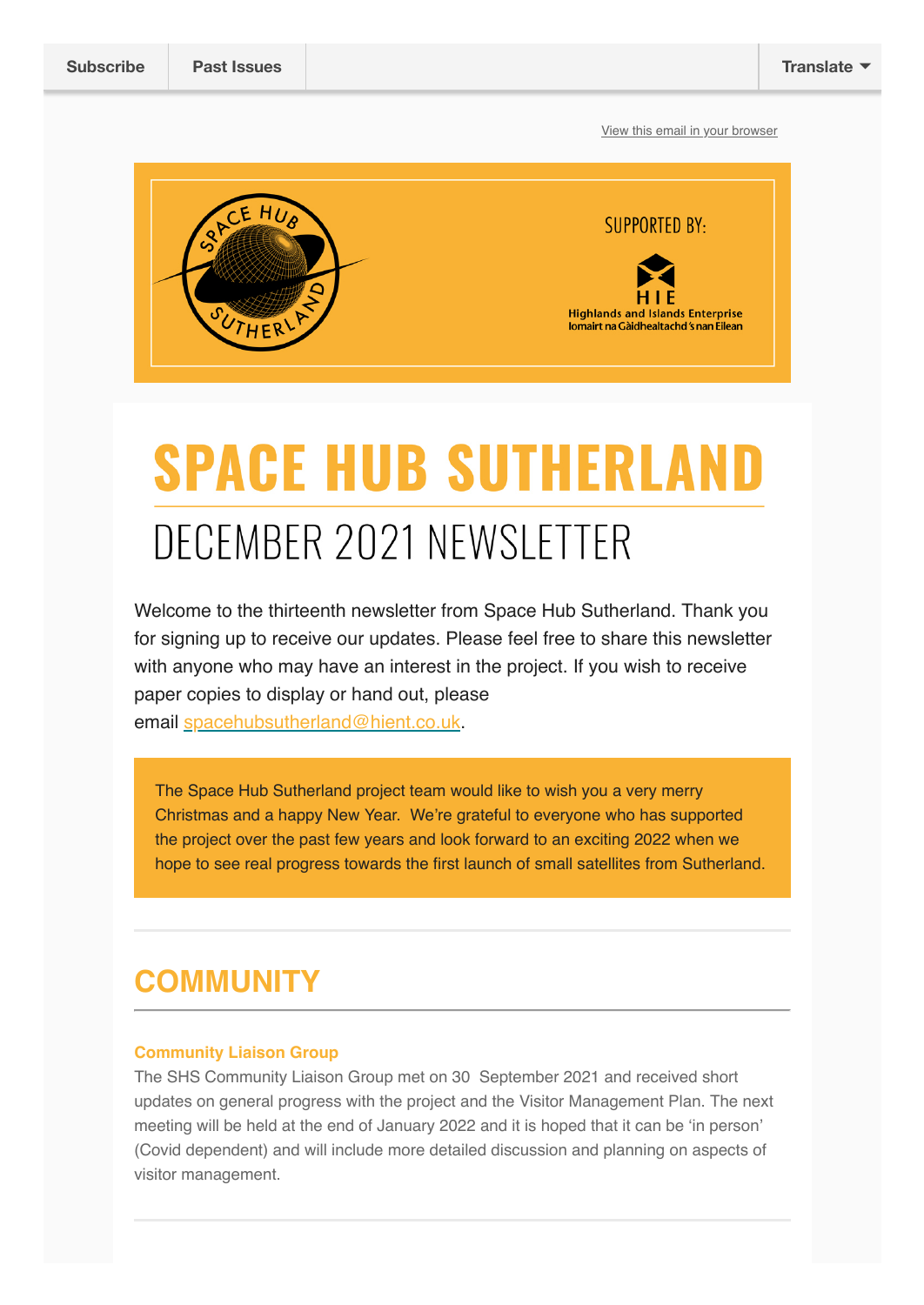[View this email in your browser](https://mailchi.mp/0dc7440f6849/spacehubsutherland-2693714?e=[UNIQID])



# **SPACE HUB SUTHERLAND** DECEMBER 2021 NEWSLETTER

Welcome to the thirteenth newsletter from Space Hub Sutherland. Thank you for signing up to receive our updates. Please feel free to share this newsletter with anyone who may have an interest in the project. If you wish to receive paper copies to display or hand out, please email [spacehubsutherland@hient.co.uk](mailto:spacehubsutherland@hient.co.uk).

The Space Hub Sutherland project team would like to wish you a very merry Christmas and a happy New Year. We're grateful to everyone who has supported the project over the past few years and look forward to an exciting 2022 when we hope to see real progress towards the first launch of small satellites from Sutherland.

## **COMMUNITY**

### **Community Liaison Group**

The SHS Community Liaison Group met on 30 September 2021 and received short updates on general progress with the project and the Visitor Management Plan. The next meeting will be held at the end of January 2022 and it is hoped that it can be 'in person' (Covid dependent) and will include more detailed discussion and planning on aspects of visitor management.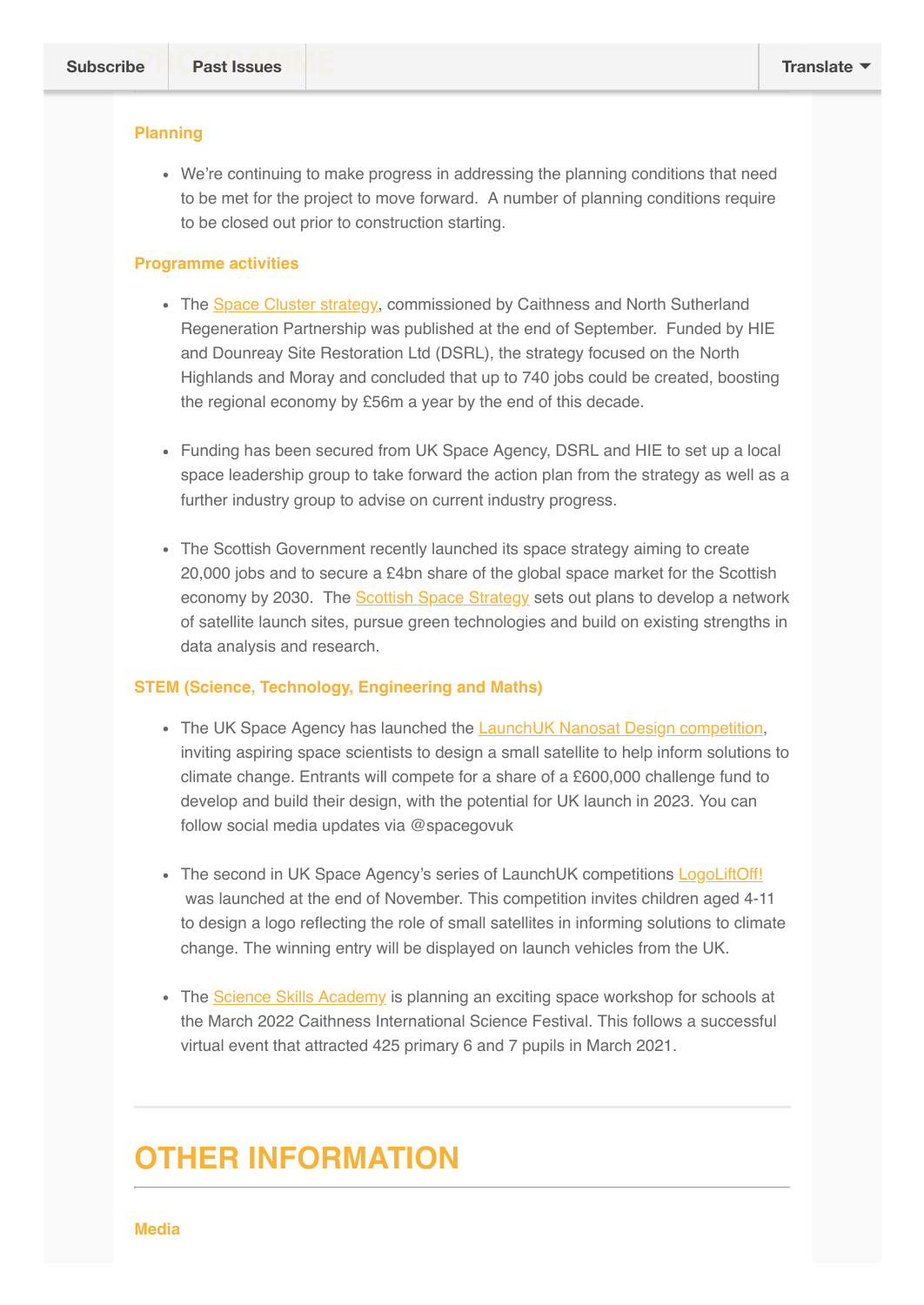### **Planning**

We're continuing to make progress in addressing the planning conditions that need to be met for the project to move forward. A number of planning conditions require to be closed out prior to construction starting.

### **Programme activities**

- The [Space Cluster strategy,](https://www.cnsrp.org.uk/space-cluster/#:~:text=The%20North%20Highland%20and%20Moray%20Space%20Cluster%20Strategy%2C,business%20cluster%20to%20the%20North%20Highlands%20and%20Moray.) commissioned by Caithness and North Sutherland Regeneration Partnership was published at the end of September. Funded by HIE and Dounreay Site Restoration Ltd (DSRL), the strategy focused on the North Highlands and Moray and concluded that up to 740 jobs could be created, boosting the regional economy by £56m a year by the end of this decade.
- Funding has been secured from UK Space Agency, DSRL and HIE to set up a local space leadership group to take forward the action plan from the strategy as well as a further industry group to advise on current industry progress.
- The Scottish Government recently launched its space strategy aiming to create 20,000 jobs and to secure a £4bn share of the global space market for the Scottish economy by 2030. The [Scottish Space Strategy](https://www.insider.co.uk/news/research-reveals-multi-billion-pound-23777649) sets out plans to develop a network of satellite launch sites, pursue green technologies and build on existing strengths in data analysis and research.

### **STEM (Science, Technology, Engineering and Maths)**

- The UK Space Agency has launched the [LaunchUK Nanosat Design competition,](https://gbr01.safelinks.protection.outlook.com/?url=https%3A%2F%2Fwww.gov.uk%2Fgovernment%2Fnews%2Fclimate-satellite-design-competition-opens-for-next-generation-of-space-scientists&data=04%7C01%7C%7C3031bbe3bb524ee0ee2e08d9b95e58b0%7C567f648e37f44490a4882a8c419baaba%7C0%7C0%7C637744637131552602%7CUnknown%7CTWFpbGZsb3d8eyJWIjoiMC4wLjAwMDAiLCJQIjoiV2luMzIiLCJBTiI6Ik1haWwiLCJXVCI6Mn0%3D%7C3000&sdata=4HOzrgeuI%2FWCzf8GH24mrY5STocTMIuhAjPKtY6lq1k%3D&reserved=0) inviting aspiring space scientists to design a small satellite to help inform solutions to climate change. Entrants will compete for a share of a £600,000 challenge fund to develop and build their design, with the potential for UK launch in 2023. You can follow social media updates via @spacegovuk
- The second in UK Space Agency's series of LaunchUK competitions [LogoLiftOff!](https://gbr01.safelinks.protection.outlook.com/?url=https%3A%2F%2Fwww.logoliftoff.org.uk%2F&data=04%7C01%7C%7C98f1b624cee94512d86908d9b95e4d45%7C567f648e37f44490a4882a8c419baaba%7C0%7C0%7C637744637080805876%7CUnknown%7CTWFpbGZsb3d8eyJWIjoiMC4wLjAwMDAiLCJQIjoiV2luMzIiLCJBTiI6Ik1haWwiLCJXVCI6Mn0%3D%7C3000&sdata=elaXnh%2B1%2B0kZHaNWjHWxecCCrmGNOgj5IYa4%2BFq53zo%3D&reserved=0) was launched at the end of November. This competition invites children aged 4-11 to design a logo reflecting the role of small satellites in informing solutions to climate change. The winning entry will be displayed on launch vehicles from the UK.
- The [Science Skills Academy](https://www.scienceskillsacademy.co.uk/) is planning an exciting space workshop for schools at the March 2022 Caithness International Science Festival. This follows a successful virtual event that attracted 425 primary 6 and 7 pupils in March 2021.

### **OTHER INFORMATION**

#### **Media**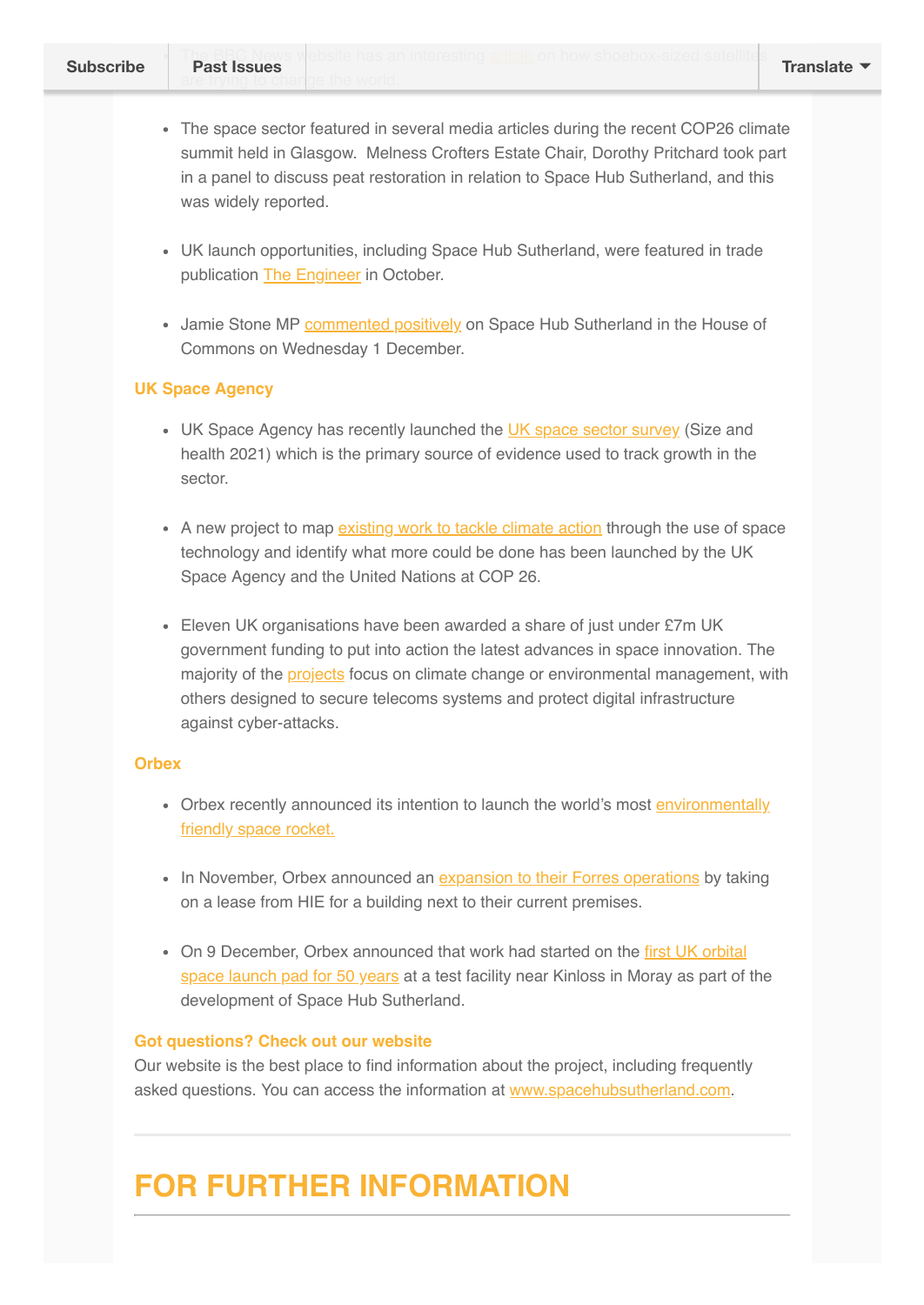- The space sector featured in several media articles during the recent COP26 climate summit held in Glasgow. Melness Crofters Estate Chair, Dorothy Pritchard took part in a panel to discuss peat restoration in relation to Space Hub Sutherland, and this was widely reported.
- UK launch opportunities, including Space Hub Sutherland, were featured in trade publication [The Engineer](https://teng.mydigitalpublication.co.uk/publication/?m=63621&i=724235&p=20&ver=html5) in October.
- Jamie Stone MP [commented positively](https://hansard.parliament.uk/Commons/2021-12-01/debates/1ACC3FA6-FAEE-4EA4-9E46-C5C020BF377F/SpaceSectorLeicesterSpacePark#contribution-B7815208-1FF6-44C0-9C07-34BE26B16365) on Space Hub Sutherland in the House of Commons on Wednesday 1 December.

### **UK Space Agency**

- UK Space Agency has recently launched the [UK space sector survey](https://www.gov.uk/government/news/uk-space-sector-survey-size-and-health-2021) (Size and health 2021) which is the primary source of evidence used to track growth in the sector.
- A new project to map [existing work to tackle climate action](https://www.gov.uk/government/news/uk-and-un-join-forces-in-using-space-tech-to-tackle-climate-change) through the use of space technology and identify what more could be done has been launched by the UK Space Agency and the United Nations at COP 26.
- Eleven UK organisations have been awarded a share of just under £7m UK government funding to put into action the latest advances in space innovation. The majority of the [projects](https://www.gov.uk/government/news/government-backs-ground-breaking-space-technology-to-tackle-climate-change) focus on climate change or environmental management, with others designed to secure telecoms systems and protect digital infrastructure against cyber-attacks.

### **Orbex**

- [Orbex recently announced its intention to launch the world's most environmentally](https://orbex.space/news/orbex-set-to-launch-worlds-most-environmentally-friendly-space-rocket) friendly space rocket.
- In November, Orbex announced an [expansion to their Forres operations](https://www.hie.co.uk/latest-news/2021/november/26/second-forres-building-occupied-by-expanding-space-firm/?returnUrl=%2Flatest-news%3FcurrentPageId%3D1542%26page%3D1%26showAllResults%3Dfalse) by taking on a lease from HIE for a building next to their current premises.
- [On 9 December, Orbex announced that work had started on the first UK orbital](https://www.bbc.co.uk/news/uk-scotland-highlands-islands-59592217) space launch pad for 50 years at a test facility near Kinloss in Moray as part of the development of Space Hub Sutherland.

### **Got questions? Check out our website**

Our website is the best place to find information about the project, including frequently asked questions. You can access the information at [www.spacehubsutherland.com](https://eur02.safelinks.protection.outlook.com/?url=http%3A%2F%2Fwww.spacehubsutherland.com%3Futm_source%3DUK%2BVertical%2BLaunch%2B%2528UKVL%2529%2BSutherland%2Bspaceport%2Bproject%2Bnewsletter%26utm_campaign%3D91cc571cc8-TIDINGS%2Bfrom%2BMalin%2Bhouse_COPY_01%26utm_medium%3Demail%26utm_term%3D0_19a9c05490-91cc571cc8-%26mc_cid%3D91cc571cc8%26mc_eid%3D%5BUNIQID%5D&data=02%7C01%7Cjune.love%40hient.co.uk%7C46f24fa080ec49dd681a08d77f18c21b%7C42cd146c1e204d8b8df0e184bb9a0994%7C0%7C0%7C637117616613953995&sdata=oN2qcak5BrhVexgXtAh6l7QJPGBKZmfrRddO5sDI0RM%3D&reserved=0).

# **FOR FURTHER INFORMATION**